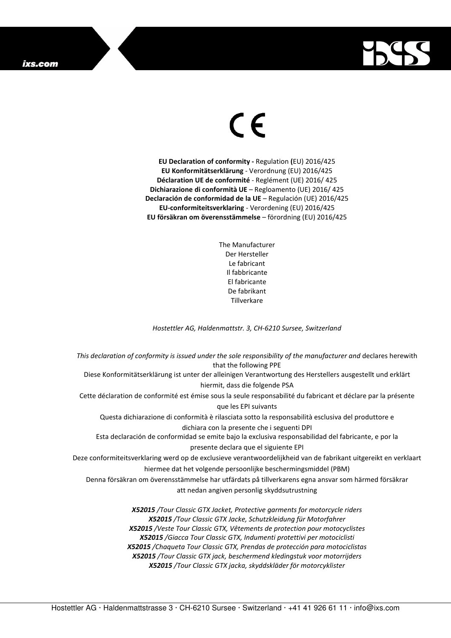## ixs.com



## $\in$

**EU Declaration of conformity -** Regulation **(**EU) 2016/425 **EU Konformitätserklärung** - Verordnung (EU) 2016/425 **Déclaration UE de conformité** - Reglément (UE) 2016/ 425 **Dichiarazione di conformità UE** – Regloamento (UE) 2016/ 425 **Declaración de conformidad de la UE** – Regulación (UE) 2016/425 **EU-conformiteitsverklaring** - Verordening (EU) 2016/425 **EU försäkran om överensstämmelse** – förordning (EU) 2016/425

> The Manufacturer Der Hersteller Le fabricant Il fabbricante El fabricante De fabrikant **Tillverkare**

*Hostettler AG, Haldenmattstr. 3, CH-6210 Sursee, Switzerland* 

*This declaration of conformity is issued under the sole responsibility of the manufacturer and* declares herewith that the following PPE Diese Konformitätserklärung ist unter der alleinigen Verantwortung des Herstellers ausgestellt und erklärt hiermit, dass die folgende PSA Cette déclaration de conformité est émise sous la seule responsabilité du fabricant et déclare par la présente que les EPI suivants Questa dichiarazione di conformità è rilasciata sotto la responsabilità esclusiva del produttore e dichiara con la presente che i seguenti DPI Esta declaración de conformidad se emite bajo la exclusiva responsabilidad del fabricante, e por la presente declara que el siguiente EPI Deze conformiteitsverklaring werd op de exclusieve verantwoordelijkheid van de fabrikant uitgereikt en verklaart hiermee dat het volgende persoonlijke beschermingsmiddel (PBM) Denna försäkran om överensstämmelse har utfärdats på tillverkarens egna ansvar som härmed försäkrar att nedan angiven personlig skyddsutrustning *X52015 /Tour Classic GTX Jacket, Protective garments for motorcycle riders X52015 /Tour Classic GTX Jacke, Schutzkleidung für Motorfahrer X52015 /Veste Tour Classic GTX, Vêtements de protection pour motocyclistes X52015 /Giacca Tour Classic GTX, Indumenti protettivi per motociclisti* 

*X52015 /Chaqueta Tour Classic GTX, Prendas de protección para motociclistas X52015 /Tour Classic GTX jack, beschermend kledingstuk voor motorrijders* 

*X52015 /Tour Classic GTX jacka, skyddskläder för motorcyklister*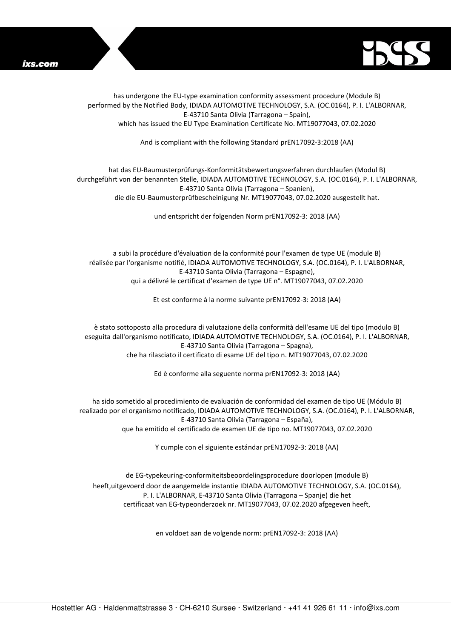



has undergone the EU-type examination conformity assessment procedure (Module B) performed by the Notified Body, IDIADA AUTOMOTIVE TECHNOLOGY, S.A. (OC.0164), P. I. L'ALBORNAR, E-43710 Santa Olivia (Tarragona – Spain), which has issued the EU Type Examination Certificate No. MT19077043, 07.02.2020

And is compliant with the following Standard prEN17092-3:2018 (AA)

## hat das EU-Baumusterprüfungs-Konformitätsbewertungsverfahren durchlaufen (Modul B) durchgeführt von der benannten Stelle, IDIADA AUTOMOTIVE TECHNOLOGY, S.A. (OC.0164), P. I. L'ALBORNAR, E-43710 Santa Olivia (Tarragona – Spanien),

die die EU-Baumusterprüfbescheinigung Nr. MT19077043, 07.02.2020 ausgestellt hat.

und entspricht der folgenden Norm prEN17092-3: 2018 (AA)

a subi la procédure d'évaluation de la conformité pour l'examen de type UE (module B) réalisée par l'organisme notifié, IDIADA AUTOMOTIVE TECHNOLOGY, S.A. (OC.0164), P. I. L'ALBORNAR, E-43710 Santa Olivia (Tarragona – Espagne), qui a délivré le certificat d'examen de type UE n°. MT19077043, 07.02.2020

Et est conforme à la norme suivante prEN17092-3: 2018 (AA)

è stato sottoposto alla procedura di valutazione della conformità dell'esame UE del tipo (modulo B) eseguita dall'organismo notificato, IDIADA AUTOMOTIVE TECHNOLOGY, S.A. (OC.0164), P. I. L'ALBORNAR, E-43710 Santa Olivia (Tarragona – Spagna), che ha rilasciato il certificato di esame UE del tipo n. MT19077043, 07.02.2020

Ed è conforme alla seguente norma prEN17092-3: 2018 (AA)

ha sido sometido al procedimiento de evaluación de conformidad del examen de tipo UE (Módulo B) realizado por el organismo notificado, IDIADA AUTOMOTIVE TECHNOLOGY, S.A. (OC.0164), P. I. L'ALBORNAR, E-43710 Santa Olivia (Tarragona – España), que ha emitido el certificado de examen UE de tipo no. MT19077043, 07.02.2020

Y cumple con el siguiente estándar prEN17092-3: 2018 (AA)

de EG-typekeuring-conformiteitsbeoordelingsprocedure doorlopen (module B) heeft,uitgevoerd door de aangemelde instantie IDIADA AUTOMOTIVE TECHNOLOGY, S.A. (OC.0164), P. I. L'ALBORNAR, E-43710 Santa Olivia (Tarragona – Spanje) die het certificaat van EG-typeonderzoek nr. MT19077043, 07.02.2020 afgegeven heeft,

en voldoet aan de volgende norm: prEN17092-3: 2018 (AA)